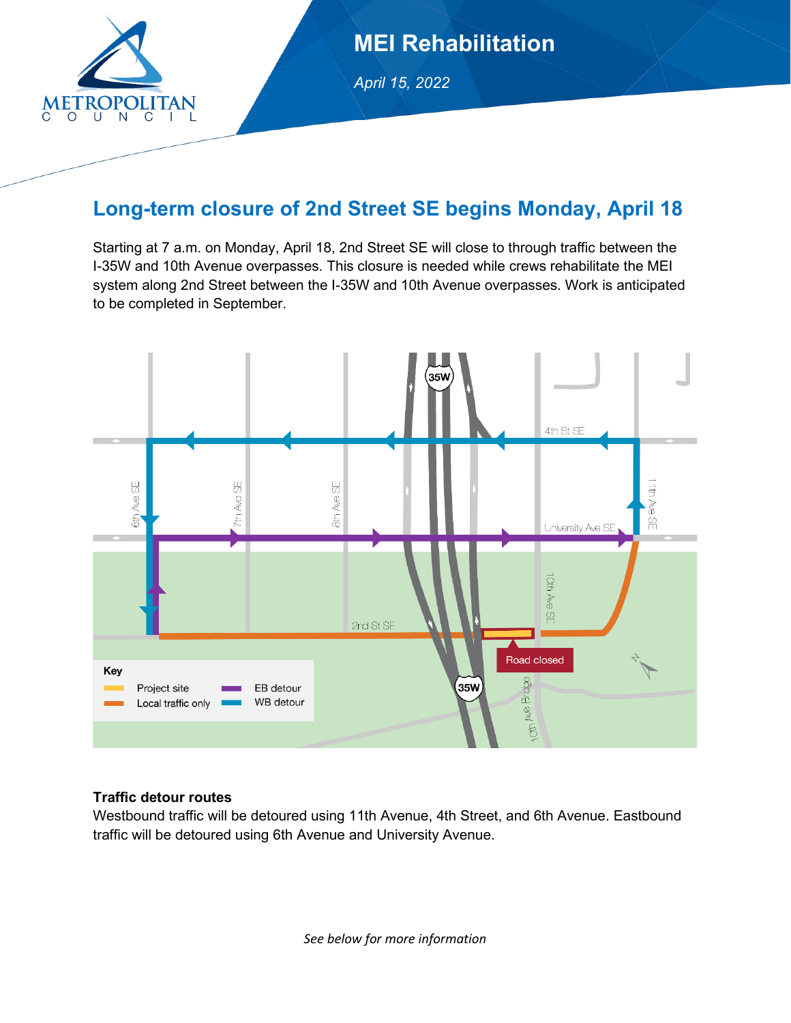

## **MEI Rehabilitation**

*April 15, 2022* 

### **Long-term closure of 2nd Street SE begins Monday, April 18**

Starting at 7 a.m. on Monday, April 18, 2nd Street SE will close to through traffic between the I-35W and 10th Avenue overpasses. This closure is needed while crews rehabilitate the MEI system along 2nd Street between the I-35W and 10th Avenue overpasses. Work is anticipated to be completed in September.



#### **Traffic detour routes**

Westbound traffic will be detoured using 11th Avenue, 4th Street, and 6th Avenue. Eastbound traffic will be detoured using 6th Avenue and University Avenue.

*See below for more information*